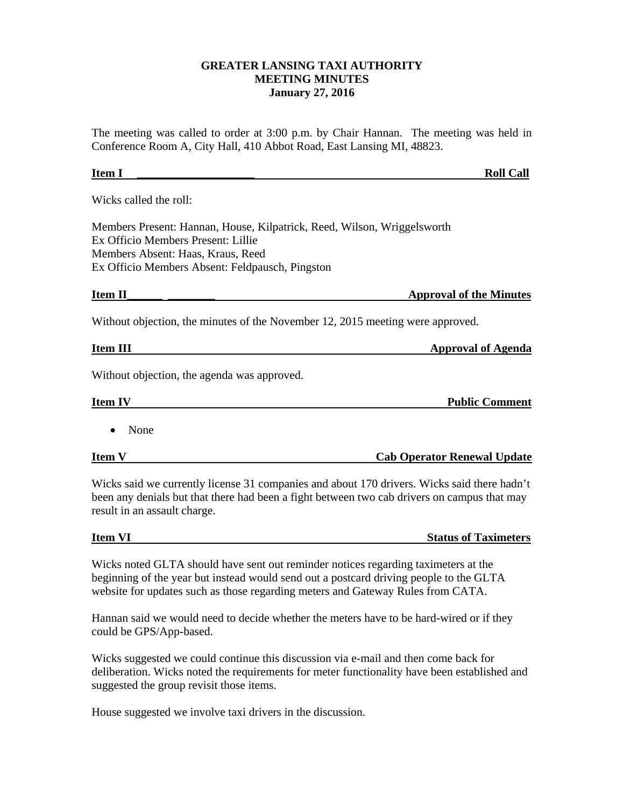## **GREATER LANSING TAXI AUTHORITY MEETING MINUTES January 27, 2016**

The meeting was called to order at 3:00 p.m. by Chair Hannan. The meeting was held in Conference Room A, City Hall, 410 Abbot Road, East Lansing MI, 48823.

| <b>Item I</b>                                                                                                                                                                                         | <b>Roll Call</b>                   |
|-------------------------------------------------------------------------------------------------------------------------------------------------------------------------------------------------------|------------------------------------|
| Wicks called the roll:                                                                                                                                                                                |                                    |
| Members Present: Hannan, House, Kilpatrick, Reed, Wilson, Wriggelsworth<br>Ex Officio Members Present: Lillie<br>Members Absent: Haas, Kraus, Reed<br>Ex Officio Members Absent: Feldpausch, Pingston |                                    |
| Item II                                                                                                                                                                                               | <b>Approval of the Minutes</b>     |
| Without objection, the minutes of the November 12, 2015 meeting were approved.                                                                                                                        |                                    |
| <b>Item III</b>                                                                                                                                                                                       | <b>Approval of Agenda</b>          |
| Without objection, the agenda was approved.                                                                                                                                                           |                                    |
| <b>Item IV</b>                                                                                                                                                                                        | <b>Public Comment</b>              |
| None                                                                                                                                                                                                  |                                    |
| <b>Item V</b>                                                                                                                                                                                         | <b>Cab Operator Renewal Update</b> |

Wicks said we currently license 31 companies and about 170 drivers. Wicks said there hadn't been any denials but that there had been a fight between two cab drivers on campus that may result in an assault charge.

| <b>Item VI</b> | <b>Status of Taximeters</b> |
|----------------|-----------------------------|
|                |                             |

Wicks noted GLTA should have sent out reminder notices regarding taximeters at the beginning of the year but instead would send out a postcard driving people to the GLTA website for updates such as those regarding meters and Gateway Rules from CATA.

Hannan said we would need to decide whether the meters have to be hard-wired or if they could be GPS/App-based.

Wicks suggested we could continue this discussion via e-mail and then come back for deliberation. Wicks noted the requirements for meter functionality have been established and suggested the group revisit those items.

House suggested we involve taxi drivers in the discussion.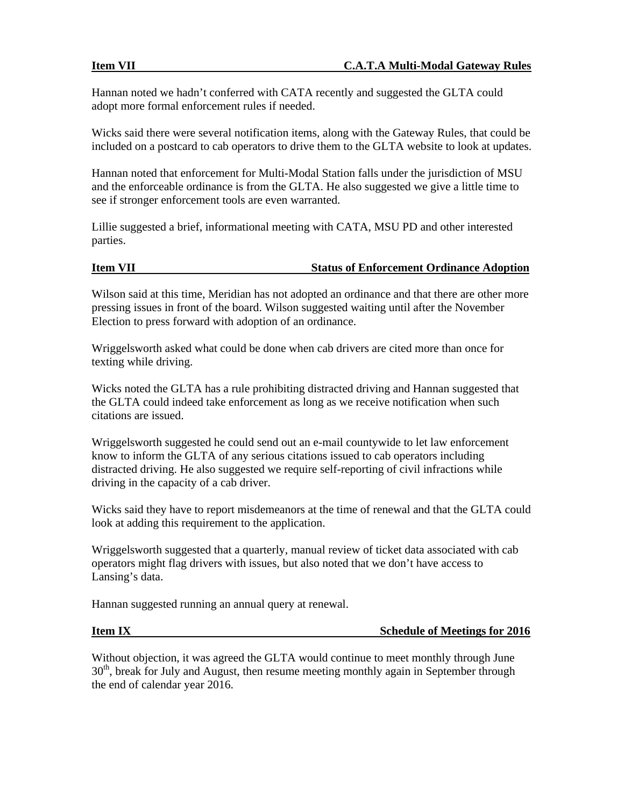Hannan noted we hadn't conferred with CATA recently and suggested the GLTA could adopt more formal enforcement rules if needed.

Wicks said there were several notification items, along with the Gateway Rules, that could be included on a postcard to cab operators to drive them to the GLTA website to look at updates.

Hannan noted that enforcement for Multi-Modal Station falls under the jurisdiction of MSU and the enforceable ordinance is from the GLTA. He also suggested we give a little time to see if stronger enforcement tools are even warranted.

Lillie suggested a brief, informational meeting with CATA, MSU PD and other interested parties.

## **Item VII Status of Enforcement Ordinance Adoption**

Wilson said at this time, Meridian has not adopted an ordinance and that there are other more pressing issues in front of the board. Wilson suggested waiting until after the November Election to press forward with adoption of an ordinance.

Wriggelsworth asked what could be done when cab drivers are cited more than once for texting while driving.

Wicks noted the GLTA has a rule prohibiting distracted driving and Hannan suggested that the GLTA could indeed take enforcement as long as we receive notification when such citations are issued.

Wriggelsworth suggested he could send out an e-mail countywide to let law enforcement know to inform the GLTA of any serious citations issued to cab operators including distracted driving. He also suggested we require self-reporting of civil infractions while driving in the capacity of a cab driver.

Wicks said they have to report misdemeanors at the time of renewal and that the GLTA could look at adding this requirement to the application.

Wriggelsworth suggested that a quarterly, manual review of ticket data associated with cab operators might flag drivers with issues, but also noted that we don't have access to Lansing's data.

Hannan suggested running an annual query at renewal.

**Item IX** Schedule of Meetings for 2016

Without objection, it was agreed the GLTA would continue to meet monthly through June  $30<sup>th</sup>$ , break for July and August, then resume meeting monthly again in September through the end of calendar year 2016.